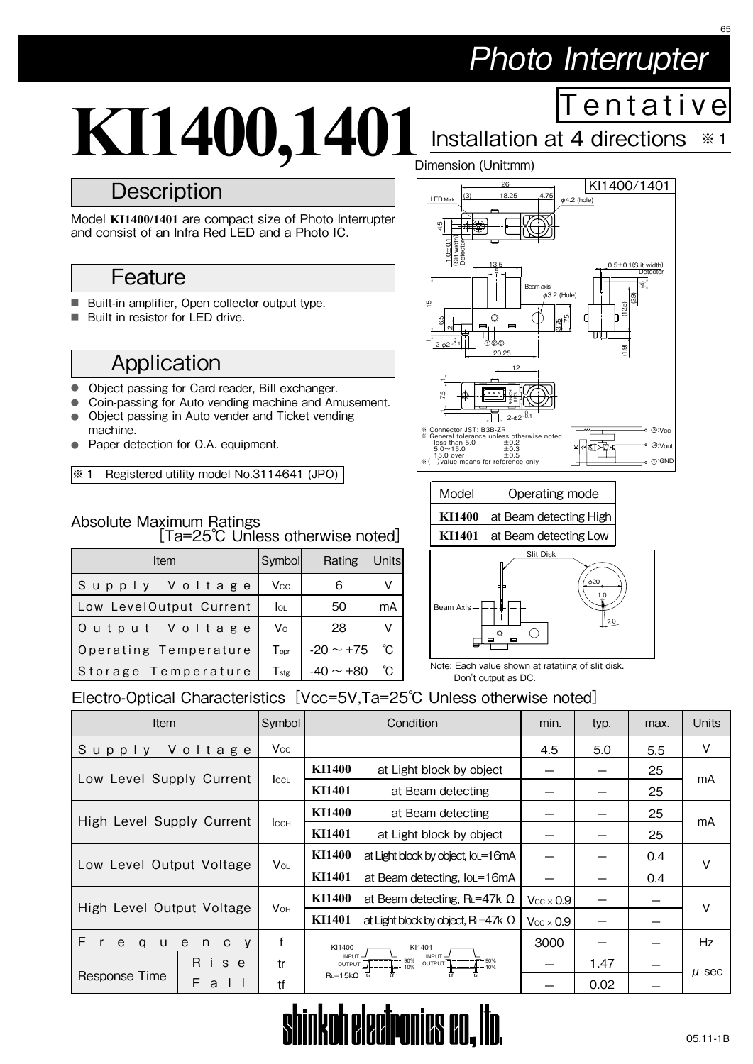# Photo Interrupter

T e n t a t i v e

65

Installation at 4 directions ※ 1

# **KI1400,1401**

# **Description**

Model **KI1400/1401** are compact size of Photo Interrupter and consist of an Infra Red LED and a Photo IC.

# **Feature**

- Built-in amplifier, Open collector output type.
- Built in resistor for LED drive.

# Application

- Object passing for Card reader, Bill exchanger.
- Coin-passing for Auto vending machine and Amusement.
- Object passing in Auto vender and Ticket vending machine.
- Paper detection for O.A. equipment.

※ 1 Registered utility model No.3114641 (JPO)

#### Absolute Maximum Ratings [Ta=25℃ Unless otherwise noted]

| Item                    | Symboll          | Rating         | Units |
|-------------------------|------------------|----------------|-------|
|                         |                  |                |       |
| Supply Voltage          | <b>Vcc</b>       | 6              | V     |
| Low LevelOutput Current | <b>OL</b>        | 50             | mA    |
| Output Voltage          | V <sub>o</sub>   | 28             | v     |
| Operating Temperature   | Topr             | $-20 \sim +75$ | °C    |
| Storage Temperature     | $T_{\text{stg}}$ | $-40 \sim +80$ | °C    |







Note: Each value shown at ratatiing of slit disk. Don't output as DC.

## Electro-Optical Characteristics [Vcc=5V,Ta=25℃ Unless otherwise noted]

| <b>Item</b>                                                 | Symbol                 | Condition            |                                                                                 | min.                   | typ. | max. | <b>Units</b> |  |
|-------------------------------------------------------------|------------------------|----------------------|---------------------------------------------------------------------------------|------------------------|------|------|--------------|--|
| Voltage<br>Supply                                           | Vcc                    |                      |                                                                                 | 4.5                    | 5.0  | 5.5  | V            |  |
| Low Level Supply Current                                    | <b>ICCL</b>            | KI1400               | at Light block by object                                                        |                        |      | 25   | mA           |  |
|                                                             |                        | KI1401               | at Beam detecting                                                               |                        |      | 25   |              |  |
| High Level Supply Current                                   | Iссн                   | <b>KI1400</b>        | at Beam detecting                                                               |                        |      | 25   | mA           |  |
|                                                             |                        | KI1401               | at Light block by object                                                        |                        |      | 25   |              |  |
| Low Level Output Voltage                                    | <b>V</b> <sub>OL</sub> | KI1400               | at Light block by object, IoL=16mA                                              |                        |      | 0.4  | v            |  |
|                                                             |                        | KI1401               | at Beam detecting, IoL=16mA                                                     |                        |      | 0.4  |              |  |
| High Level Output Voltage                                   |                        | KI1400               | at Beam detecting, $R_L = 47k \Omega$                                           | $V_{CC}$ $\times$ 0.9  |      |      | V            |  |
|                                                             | <b>V</b> он            | KI1401               | at Light block by object, $R = 47k \Omega$                                      | $\rm V_{CC}\times 0.9$ |      |      |              |  |
| F.<br>$\mathsf{r}$<br>e<br>q<br>e<br>U<br>n<br>$\mathbf{C}$ | f<br>V                 | KI1400<br>KI1401     |                                                                                 | 3000                   |      |      | Hz.          |  |
| Ri<br>s e                                                   | tr                     |                      | INPUT-<br>INPUT-<br>OUTPUT $\frac{1}{10\%}$ = 90% OUTPUT $\frac{1}{10\%}$ = 90% |                        | 1.47 |      | $\mu$ sec    |  |
| Response Time<br>F.<br>a                                    | tf                     | $R_L = 15k\Omega$ tr |                                                                                 |                        | 0.02 |      |              |  |